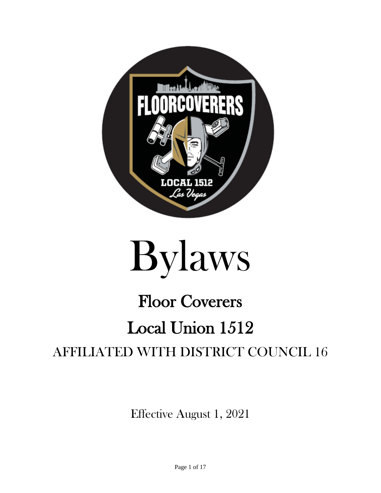



# Floor Coverers Local Union 1512 AFFILIATED WITH DISTRICT COUNCIL 16

Effective August 1, 2021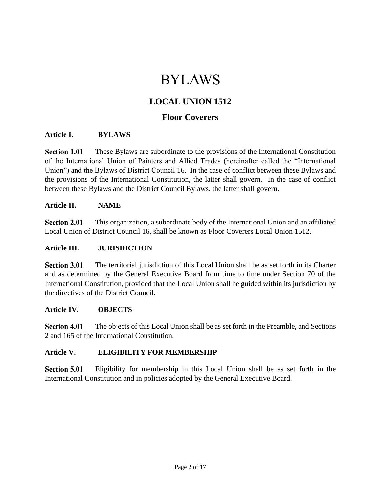## BYLAWS

## **LOCAL UNION 1512**

### **Floor Coverers**

#### **Article I. BYLAWS**

**Section 1.01** These Bylaws are subordinate to the provisions of the International Constitution of the International Union of Painters and Allied Trades (hereinafter called the "International Union") and the Bylaws of District Council 16. In the case of conflict between these Bylaws and the provisions of the International Constitution, the latter shall govern. In the case of conflict between these Bylaws and the District Council Bylaws, the latter shall govern.

#### **Article II. NAME**

**Section 2.01** This organization, a subordinate body of the International Union and an affiliated Local Union of District Council 16, shall be known as Floor Coverers Local Union 1512.

#### **Article III. JURISDICTION**

**Section 3.01** The territorial jurisdiction of this Local Union shall be as set forth in its Charter and as determined by the General Executive Board from time to time under Section 70 of the International Constitution, provided that the Local Union shall be guided within its jurisdiction by the directives of the District Council.

#### **Article IV. OBJECTS**

**Section 4.01** The objects of this Local Union shall be as set forth in the Preamble, and Sections 2 and 165 of the International Constitution.

#### **Article V. ELIGIBILITY FOR MEMBERSHIP**

**Section 5.01** Eligibility for membership in this Local Union shall be as set forth in the International Constitution and in policies adopted by the General Executive Board.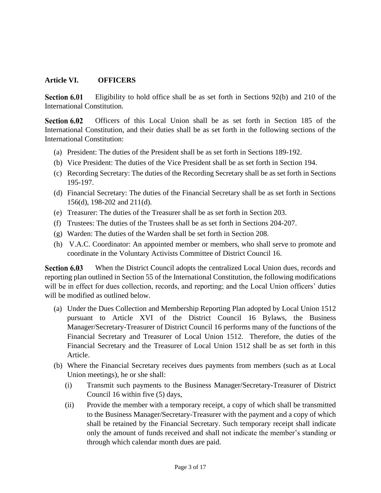#### **Article VI. OFFICERS**

**Section 6.01** Eligibility to hold office shall be as set forth in Sections 92(b) and 210 of the International Constitution.

Officers of this Local Union shall be as set forth in Section 185 of the **Section 6.02** International Constitution, and their duties shall be as set forth in the following sections of the International Constitution:

- (a) President: The duties of the President shall be as set forth in Sections 189-192.
- (b) Vice President: The duties of the Vice President shall be as set forth in Section 194.
- (c) Recording Secretary: The duties of the Recording Secretary shall be as set forth in Sections 195-197.
- (d) Financial Secretary: The duties of the Financial Secretary shall be as set forth in Sections 156(d), 198-202 and 211(d).
- (e) Treasurer: The duties of the Treasurer shall be as set forth in Section 203.
- (f) Trustees: The duties of the Trustees shall be as set forth in Sections 204-207.
- (g) Warden: The duties of the Warden shall be set forth in Section 208.
- (h) V.A.C. Coordinator: An appointed member or members, who shall serve to promote and coordinate in the Voluntary Activists Committee of District Council 16.

Section 6.03 When the District Council adopts the centralized Local Union dues, records and reporting plan outlined in Section 55 of the International Constitution, the following modifications will be in effect for dues collection, records, and reporting; and the Local Union officers' duties will be modified as outlined below.

- (a) Under the Dues Collection and Membership Reporting Plan adopted by Local Union 1512 pursuant to Article XVI of the District Council 16 Bylaws, the Business Manager/Secretary-Treasurer of District Council 16 performs many of the functions of the Financial Secretary and Treasurer of Local Union 1512. Therefore, the duties of the Financial Secretary and the Treasurer of Local Union 1512 shall be as set forth in this Article.
- (b) Where the Financial Secretary receives dues payments from members (such as at Local Union meetings), he or she shall:
	- (i) Transmit such payments to the Business Manager/Secretary-Treasurer of District Council 16 within five (5) days,
	- (ii) Provide the member with a temporary receipt, a copy of which shall be transmitted to the Business Manager/Secretary-Treasurer with the payment and a copy of which shall be retained by the Financial Secretary. Such temporary receipt shall indicate only the amount of funds received and shall not indicate the member's standing or through which calendar month dues are paid.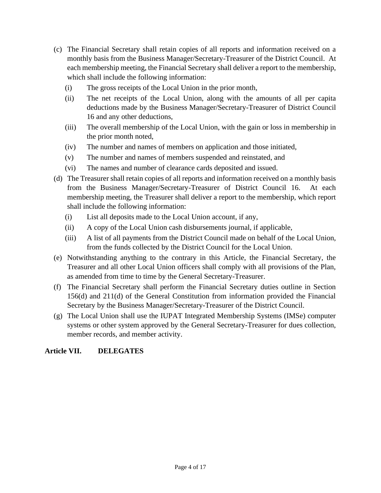- (c) The Financial Secretary shall retain copies of all reports and information received on a monthly basis from the Business Manager/Secretary-Treasurer of the District Council. At each membership meeting, the Financial Secretary shall deliver a report to the membership, which shall include the following information:
	- (i) The gross receipts of the Local Union in the prior month,
	- (ii) The net receipts of the Local Union, along with the amounts of all per capita deductions made by the Business Manager/Secretary-Treasurer of District Council 16 and any other deductions,
	- (iii) The overall membership of the Local Union, with the gain or loss in membership in the prior month noted,
	- (iv) The number and names of members on application and those initiated,
	- (v) The number and names of members suspended and reinstated, and
	- (vi) The names and number of clearance cards deposited and issued.
- (d) The Treasurer shall retain copies of all reports and information received on a monthly basis from the Business Manager/Secretary-Treasurer of District Council 16. At each membership meeting, the Treasurer shall deliver a report to the membership, which report shall include the following information:
	- (i) List all deposits made to the Local Union account, if any,
	- (ii) A copy of the Local Union cash disbursements journal, if applicable,
	- (iii) A list of all payments from the District Council made on behalf of the Local Union, from the funds collected by the District Council for the Local Union.
- (e) Notwithstanding anything to the contrary in this Article, the Financial Secretary, the Treasurer and all other Local Union officers shall comply with all provisions of the Plan, as amended from time to time by the General Secretary-Treasurer.
- (f) The Financial Secretary shall perform the Financial Secretary duties outline in Section 156(d) and 211(d) of the General Constitution from information provided the Financial Secretary by the Business Manager/Secretary-Treasurer of the District Council.
- (g) The Local Union shall use the IUPAT Integrated Membership Systems (IMSe) computer systems or other system approved by the General Secretary-Treasurer for dues collection, member records, and member activity.

#### **Article VII. DELEGATES**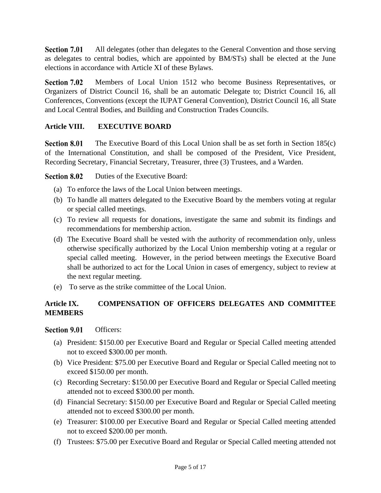Section 7.01 All delegates (other than delegates to the General Convention and those serving as delegates to central bodies, which are appointed by BM/STs) shall be elected at the June elections in accordance with Article XI of these Bylaws.

Section 7.02 Members of Local Union 1512 who become Business Representatives, or Organizers of District Council 16, shall be an automatic Delegate to; District Council 16, all Conferences, Conventions (except the IUPAT General Convention), District Council 16, all State and Local Central Bodies, and Building and Construction Trades Councils.

#### **Article VIII. EXECUTIVE BOARD**

**Section 8.01** The Executive Board of this Local Union shall be as set forth in Section 185(c) of the International Constitution, and shall be composed of the President, Vice President, Recording Secretary, Financial Secretary, Treasurer, three (3) Trustees, and a Warden.

**Section 8.02** Duties of the Executive Board:

- (a) To enforce the laws of the Local Union between meetings.
- (b) To handle all matters delegated to the Executive Board by the members voting at regular or special called meetings.
- (c) To review all requests for donations, investigate the same and submit its findings and recommendations for membership action.
- (d) The Executive Board shall be vested with the authority of recommendation only, unless otherwise specifically authorized by the Local Union membership voting at a regular or special called meeting. However, in the period between meetings the Executive Board shall be authorized to act for the Local Union in cases of emergency, subject to review at the next regular meeting.
- (e) To serve as the strike committee of the Local Union.

#### **Article IX. COMPENSATION OF OFFICERS DELEGATES AND COMMITTEE MEMBERS**

#### **Section 9.01** Officers:

- (a) President: \$150.00 per Executive Board and Regular or Special Called meeting attended not to exceed \$300.00 per month.
- (b) Vice President: \$75.00 per Executive Board and Regular or Special Called meeting not to exceed \$150.00 per month.
- (c) Recording Secretary: \$150.00 per Executive Board and Regular or Special Called meeting attended not to exceed \$300.00 per month.
- (d) Financial Secretary: \$150.00 per Executive Board and Regular or Special Called meeting attended not to exceed \$300.00 per month.
- (e) Treasurer: \$100.00 per Executive Board and Regular or Special Called meeting attended not to exceed \$200.00 per month.
- (f) Trustees: \$75.00 per Executive Board and Regular or Special Called meeting attended not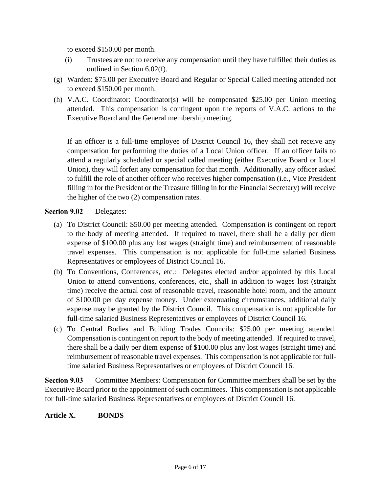to exceed \$150.00 per month.

- (i) Trustees are not to receive any compensation until they have fulfilled their duties as outlined in Section 6.02(f).
- (g) Warden: \$75.00 per Executive Board and Regular or Special Called meeting attended not to exceed \$150.00 per month.
- (h) V.A.C. Coordinator: Coordinator(s) will be compensated \$25.00 per Union meeting attended. This compensation is contingent upon the reports of V.A.C. actions to the Executive Board and the General membership meeting.

If an officer is a full-time employee of District Council 16, they shall not receive any compensation for performing the duties of a Local Union officer. If an officer fails to attend a regularly scheduled or special called meeting (either Executive Board or Local Union), they will forfeit any compensation for that month. Additionally, any officer asked to fulfill the role of another officer who receives higher compensation (i.e., Vice President filling in for the President or the Treasure filling in for the Financial Secretary) will receive the higher of the two (2) compensation rates.

#### **Section 9.02** Delegates:

- (a) To District Council: \$50.00 per meeting attended. Compensation is contingent on report to the body of meeting attended. If required to travel, there shall be a daily per diem expense of \$100.00 plus any lost wages (straight time) and reimbursement of reasonable travel expenses. This compensation is not applicable for full-time salaried Business Representatives or employees of District Council 16.
- (b) To Conventions, Conferences, etc.: Delegates elected and/or appointed by this Local Union to attend conventions, conferences, etc., shall in addition to wages lost (straight time) receive the actual cost of reasonable travel, reasonable hotel room, and the amount of \$100.00 per day expense money. Under extenuating circumstances, additional daily expense may be granted by the District Council. This compensation is not applicable for full-time salaried Business Representatives or employees of District Council 16.
- (c) To Central Bodies and Building Trades Councils: \$25.00 per meeting attended. Compensation is contingent on report to the body of meeting attended. If required to travel, there shall be a daily per diem expense of \$100.00 plus any lost wages (straight time) and reimbursement of reasonable travel expenses. This compensation is not applicable for fulltime salaried Business Representatives or employees of District Council 16.

**Section 9.03** Committee Members: Compensation for Committee members shall be set by the Executive Board prior to the appointment of such committees. This compensation is not applicable for full-time salaried Business Representatives or employees of District Council 16.

#### **Article X. BONDS**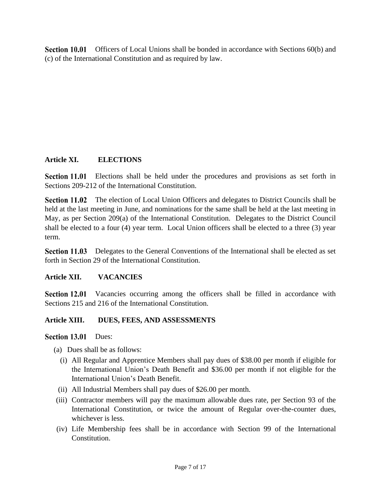Section 10.01 Officers of Local Unions shall be bonded in accordance with Sections 60(b) and (c) of the International Constitution and as required by law.

#### **Article XI. ELECTIONS**

Section 11.01 Elections shall be held under the procedures and provisions as set forth in Sections 209-212 of the International Constitution.

**Section 11.02** The election of Local Union Officers and delegates to District Councils shall be held at the last meeting in June, and nominations for the same shall be held at the last meeting in May, as per Section 209(a) of the International Constitution. Delegates to the District Council shall be elected to a four (4) year term. Local Union officers shall be elected to a three (3) year term.

**Section 11.03** Delegates to the General Conventions of the International shall be elected as set forth in Section 29 of the International Constitution.

#### **Article XII. VACANCIES**

Section 12.01 Vacancies occurring among the officers shall be filled in accordance with Sections 215 and 216 of the International Constitution.

#### **Article XIII. DUES, FEES, AND ASSESSMENTS**

Section 13.01 Dues:

- (a) Dues shall be as follows:
	- (i) All Regular and Apprentice Members shall pay dues of \$38.00 per month if eligible for the International Union's Death Benefit and \$36.00 per month if not eligible for the International Union's Death Benefit.
- (ii) All Industrial Members shall pay dues of \$26.00 per month.
- (iii) Contractor members will pay the maximum allowable dues rate, per Section 93 of the International Constitution, or twice the amount of Regular over-the-counter dues, whichever is less.
- (iv) Life Membership fees shall be in accordance with Section 99 of the International Constitution.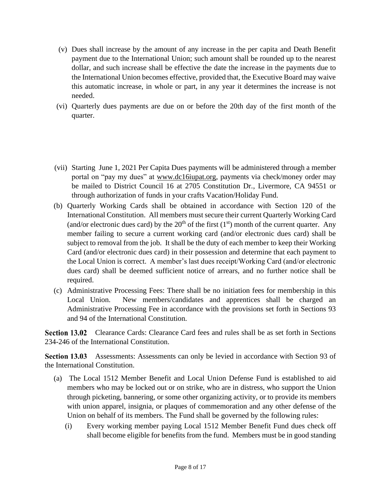- (v) Dues shall increase by the amount of any increase in the per capita and Death Benefit payment due to the International Union; such amount shall be rounded up to the nearest dollar, and such increase shall be effective the date the increase in the payments due to the International Union becomes effective, provided that, the Executive Board may waive this automatic increase, in whole or part, in any year it determines the increase is not needed.
- (vi) Quarterly dues payments are due on or before the 20th day of the first month of the quarter.
- (vii) Starting June 1, 2021 Per Capita Dues payments will be administered through a member portal on "pay my dues" at [www.dc16iupat.org,](http://www.dc16iupat.org/) payments via check/money order may be mailed to District Council 16 at 2705 Constitution Dr., Livermore, CA 94551 or through authorization of funds in your crafts Vacation/Holiday Fund.
- (b) Quarterly Working Cards shall be obtained in accordance with Section 120 of the International Constitution. All members must secure their current Quarterly Working Card (and/or electronic dues card) by the  $20<sup>th</sup>$  of the first (1<sup>st</sup>) month of the current quarter. Any member failing to secure a current working card (and/or electronic dues card) shall be subject to removal from the job. It shall be the duty of each member to keep their Working Card (and/or electronic dues card) in their possession and determine that each payment to the Local Union is correct. A member's last dues receipt/Working Card (and/or electronic dues card) shall be deemed sufficient notice of arrears, and no further notice shall be required.
- (c) Administrative Processing Fees: There shall be no initiation fees for membership in this Local Union. New members/candidates and apprentices shall be charged an Administrative Processing Fee in accordance with the provisions set forth in Sections 93 and 94 of the International Constitution.

Section 13.02 Clearance Cards: Clearance Card fees and rules shall be as set forth in Sections 234-246 of the International Constitution.

Section 13.03 Assessments: Assessments can only be levied in accordance with Section 93 of the International Constitution.

- (a) The Local 1512 Member Benefit and Local Union Defense Fund is established to aid members who may be locked out or on strike, who are in distress, who support the Union through picketing, bannering, or some other organizing activity, or to provide its members with union apparel, insignia, or plaques of commemoration and any other defense of the Union on behalf of its members. The Fund shall be governed by the following rules:
	- (i) Every working member paying Local 1512 Member Benefit Fund dues check off shall become eligible for benefits from the fund. Members must be in good standing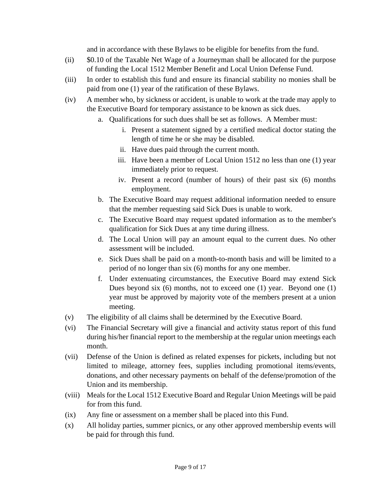and in accordance with these Bylaws to be eligible for benefits from the fund.

- (ii) \$0.10 of the Taxable Net Wage of a Journeyman shall be allocated for the purpose of funding the Local 1512 Member Benefit and Local Union Defense Fund.
- (iii) In order to establish this fund and ensure its financial stability no monies shall be paid from one (1) year of the ratification of these Bylaws.
- (iv) A member who, by sickness or accident, is unable to work at the trade may apply to the Executive Board for temporary assistance to be known as sick dues.
	- a. Qualifications for such dues shall be set as follows. A Member must:
		- i. Present a statement signed by a certified medical doctor stating the length of time he or she may be disabled.
		- ii. Have dues paid through the current month.
		- iii. Have been a member of Local Union 1512 no less than one (1) year immediately prior to request.
		- iv. Present a record (number of hours) of their past six (6) months employment.
	- b. The Executive Board may request additional information needed to ensure that the member requesting said Sick Dues is unable to work.
	- c. The Executive Board may request updated information as to the member's qualification for Sick Dues at any time during illness.
	- d. The Local Union will pay an amount equal to the current dues. No other assessment will be included.
	- e. Sick Dues shall be paid on a month-to-month basis and will be limited to a period of no longer than six (6) months for any one member.
	- f. Under extenuating circumstances, the Executive Board may extend Sick Dues beyond six (6) months, not to exceed one (1) year. Beyond one (1) year must be approved by majority vote of the members present at a union meeting.
- (v) The eligibility of all claims shall be determined by the Executive Board.
- (vi) The Financial Secretary will give a financial and activity status report of this fund during his/her financial report to the membership at the regular union meetings each month.
- (vii) Defense of the Union is defined as related expenses for pickets, including but not limited to mileage, attorney fees, supplies including promotional items/events, donations, and other necessary payments on behalf of the defense/promotion of the Union and its membership.
- (viii) Meals for the Local 1512 Executive Board and Regular Union Meetings will be paid for from this fund.
- (ix) Any fine or assessment on a member shall be placed into this Fund.
- (x) All holiday parties, summer picnics, or any other approved membership events will be paid for through this fund.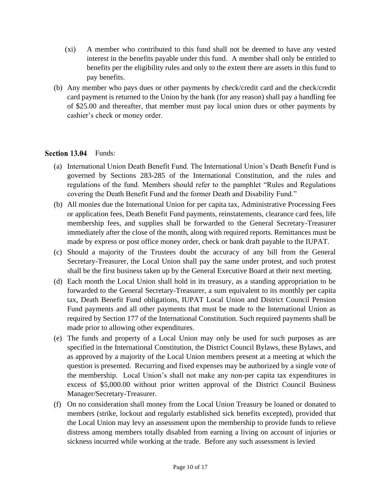- (xi) A member who contributed to this fund shall not be deemed to have any vested interest in the benefits payable under this fund. A member shall only be entitled to benefits per the eligibility rules and only to the extent there are assets in this fund to pay benefits.
- (b) Any member who pays dues or other payments by check/credit card and the check/credit card payment is returned to the Union by the bank (for any reason) shall pay a handling fee of \$25.00 and thereafter, that member must pay local union dues or other payments by cashier's check or money order.

#### Section 13.04 Funds:

- (a) International Union Death Benefit Fund. The International Union's Death Benefit Fund is governed by Sections 283-285 of the International Constitution, and the rules and regulations of the fund. Members should refer to the pamphlet "Rules and Regulations covering the Death Benefit Fund and the former Death and Disability Fund."
- (b) All monies due the International Union for per capita tax, Administrative Processing Fees or application fees, Death Benefit Fund payments, reinstatements, clearance card fees, life membership fees, and supplies shall be forwarded to the General Secretary-Treasurer immediately after the close of the month, along with required reports. Remittances must be made by express or post office money order, check or bank draft payable to the IUPAT.
- (c) Should a majority of the Trustees doubt the accuracy of any bill from the General Secretary-Treasurer, the Local Union shall pay the same under protest, and such protest shall be the first business taken up by the General Executive Board at their next meeting.
- (d) Each month the Local Union shall hold in its treasury, as a standing appropriation to be forwarded to the General Secretary-Treasurer, a sum equivalent to its monthly per capita tax, Death Benefit Fund obligations, IUPAT Local Union and District Council Pension Fund payments and all other payments that must be made to the International Union as required by Section 177 of the International Constitution. Such required payments shall be made prior to allowing other expenditures.
- (e) The funds and property of a Local Union may only be used for such purposes as are specified in the International Constitution, the District Council Bylaws, these Bylaws, and as approved by a majority of the Local Union members present at a meeting at which the question is presented. Recurring and fixed expenses may be authorized by a single vote of the membership. Local Union's shall not make any non-per capita tax expenditures in excess of \$5,000.00 without prior written approval of the District Council Business Manager/Secretary-Treasurer.
- (f) On no consideration shall money from the Local Union Treasury be loaned or donated to members (strike, lockout and regularly established sick benefits excepted), provided that the Local Union may levy an assessment upon the membership to provide funds to relieve distress among members totally disabled from earning a living on account of injuries or sickness incurred while working at the trade. Before any such assessment is levied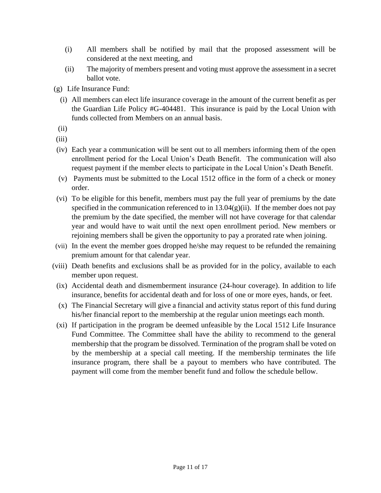- (i) All members shall be notified by mail that the proposed assessment will be considered at the next meeting, and
- (ii) The majority of members present and voting must approve the assessment in a secret ballot vote.
- (g) Life Insurance Fund:
	- (i) All members can elect life insurance coverage in the amount of the current benefit as per the Guardian Life Policy #G-404481. This insurance is paid by the Local Union with funds collected from Members on an annual basis.
- (ii)
- (iii)
- (iv) Each year a communication will be sent out to all members informing them of the open enrollment period for the Local Union's Death Benefit. The communication will also request payment if the member elects to participate in the Local Union's Death Benefit.
- (v) Payments must be submitted to the Local 1512 office in the form of a check or money order.
- (vi) To be eligible for this benefit, members must pay the full year of premiums by the date specified in the communication referenced to in  $13.04(g)(ii)$ . If the member does not pay the premium by the date specified, the member will not have coverage for that calendar year and would have to wait until the next open enrollment period. New members or rejoining members shall be given the opportunity to pay a prorated rate when joining.
- (vii) In the event the member goes dropped he/she may request to be refunded the remaining premium amount for that calendar year.
- (viii) Death benefits and exclusions shall be as provided for in the policy, available to each member upon request.
	- (ix) Accidental death and dismemberment insurance (24-hour coverage). In addition to life insurance, benefits for accidental death and for loss of one or more eyes, hands, or feet.
	- (x) The Financial Secretary will give a financial and activity status report of this fund during his/her financial report to the membership at the regular union meetings each month.
- (xi) If participation in the program be deemed unfeasible by the Local 1512 Life Insurance Fund Committee. The Committee shall have the ability to recommend to the general membership that the program be dissolved. Termination of the program shall be voted on by the membership at a special call meeting. If the membership terminates the life insurance program, there shall be a payout to members who have contributed. The payment will come from the member benefit fund and follow the schedule bellow.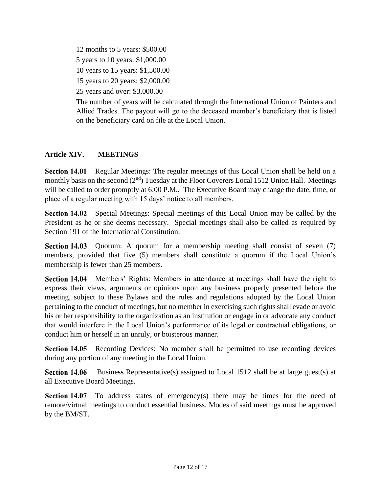12 months to 5 years: \$500.00 5 years to 10 years: \$1,000.00 10 years to 15 years: \$1,500.00 15 years to 20 years: \$2,000.00 25 years and over: \$3,000.00

The number of years will be calculated through the International Union of Painters and Allied Trades. The payout will go to the deceased member's beneficiary that is listed on the beneficiary card on file at the Local Union.

#### **Article XIV. MEETINGS**

**Section 14.01** Regular Meetings: The regular meetings of this Local Union shall be held on a monthly basis on the second  $(2<sup>nd</sup>)$  Tuesday at the Floor Coverers Local 1512 Union Hall. Meetings will be called to order promptly at 6:00 P.M.. The Executive Board may change the date, time, or place of a regular meeting with 15 days' notice to all members.

Section 14.02 Special Meetings: Special meetings of this Local Union may be called by the President as he or she deems necessary. Special meetings shall also be called as required by Section 191 of the International Constitution.

Section 14.03 Quorum: A quorum for a membership meeting shall consist of seven (7) members, provided that five (5) members shall constitute a quorum if the Local Union's membership is fewer than 25 members.

Section 14.04 Members' Rights: Members in attendance at meetings shall have the right to express their views, arguments or opinions upon any business properly presented before the meeting, subject to these Bylaws and the rules and regulations adopted by the Local Union pertaining to the conduct of meetings, but no member in exercising such rights shall evade or avoid his or her responsibility to the organization as an institution or engage in or advocate any conduct that would interfere in the Local Union's performance of its legal or contractual obligations, or conduct him or herself in an unruly, or boisterous manner.

Section 14.05 Recording Devices: No member shall be permitted to use recording devices during any portion of any meeting in the Local Union.

Busine**ss** Representative(s) assigned to Local 1512 shall be at large guest(s) at **Section 14.06** all Executive Board Meetings.

**Section 14.07** To address states of emergency(s) there may be times for the need of remote/virtual meetings to conduct essential business. Modes of said meetings must be approved by the BM/ST.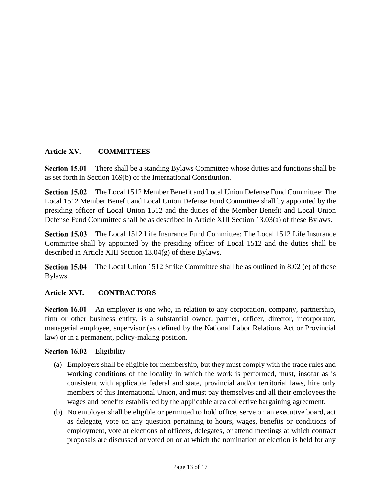#### **Article XV. COMMITTEES**

Section 15.01 There shall be a standing Bylaws Committee whose duties and functions shall be as set forth in Section 169(b) of the International Constitution.

Section 15.02 The Local 1512 Member Benefit and Local Union Defense Fund Committee: The Local 1512 Member Benefit and Local Union Defense Fund Committee shall by appointed by the presiding officer of Local Union 1512 and the duties of the Member Benefit and Local Union Defense Fund Committee shall be as described in Article XIII Section 13.03(a) of these Bylaws.

Section 15.03 The Local 1512 Life Insurance Fund Committee: The Local 1512 Life Insurance Committee shall by appointed by the presiding officer of Local 1512 and the duties shall be described in Article XIII Section 13.04(g) of these Bylaws.

Section 15.04 The Local Union 1512 Strike Committee shall be as outlined in 8.02 (e) of these Bylaws.

#### **Article XVI. CONTRACTORS**

Section 16.01 An employer is one who, in relation to any corporation, company, partnership, firm or other business entity, is a substantial owner, partner, officer, director, incorporator, managerial employee, supervisor (as defined by the National Labor Relations Act or Provincial law) or in a permanent, policy-making position.

#### Section 16.02 Eligibility

- (a) Employers shall be eligible for membership, but they must comply with the trade rules and working conditions of the locality in which the work is performed, must, insofar as is consistent with applicable federal and state, provincial and/or territorial laws, hire only members of this International Union, and must pay themselves and all their employees the wages and benefits established by the applicable area collective bargaining agreement.
- (b) No employer shall be eligible or permitted to hold office, serve on an executive board, act as delegate, vote on any question pertaining to hours, wages, benefits or conditions of employment, vote at elections of officers, delegates, or attend meetings at which contract proposals are discussed or voted on or at which the nomination or election is held for any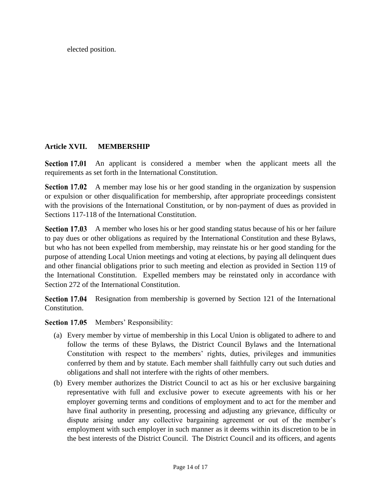elected position.

#### **Article XVII. MEMBERSHIP**

Section 17.01 An applicant is considered a member when the applicant meets all the requirements as set forth in the International Constitution.

Section 17.02 A member may lose his or her good standing in the organization by suspension or expulsion or other disqualification for membership, after appropriate proceedings consistent with the provisions of the International Constitution, or by non-payment of dues as provided in Sections 117-118 of the International Constitution.

Section 17.03 A member who loses his or her good standing status because of his or her failure to pay dues or other obligations as required by the International Constitution and these Bylaws, but who has not been expelled from membership, may reinstate his or her good standing for the purpose of attending Local Union meetings and voting at elections, by paying all delinquent dues and other financial obligations prior to such meeting and election as provided in Section 119 of the International Constitution. Expelled members may be reinstated only in accordance with Section 272 of the International Constitution.

Section 17.04 Resignation from membership is governed by Section 121 of the International Constitution.

Section 17.05 Members' Responsibility:

- (a) Every member by virtue of membership in this Local Union is obligated to adhere to and follow the terms of these Bylaws, the District Council Bylaws and the International Constitution with respect to the members' rights, duties, privileges and immunities conferred by them and by statute. Each member shall faithfully carry out such duties and obligations and shall not interfere with the rights of other members.
- (b) Every member authorizes the District Council to act as his or her exclusive bargaining representative with full and exclusive power to execute agreements with his or her employer governing terms and conditions of employment and to act for the member and have final authority in presenting, processing and adjusting any grievance, difficulty or dispute arising under any collective bargaining agreement or out of the member's employment with such employer in such manner as it deems within its discretion to be in the best interests of the District Council. The District Council and its officers, and agents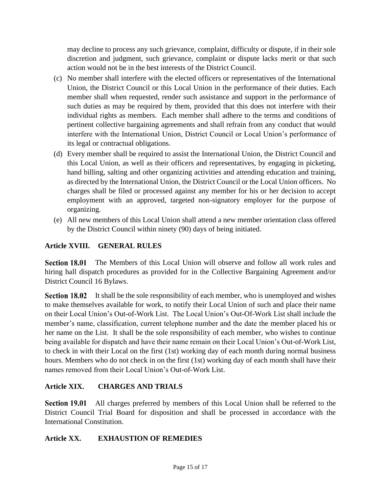may decline to process any such grievance, complaint, difficulty or dispute, if in their sole discretion and judgment, such grievance, complaint or dispute lacks merit or that such action would not be in the best interests of the District Council.

- (c) No member shall interfere with the elected officers or representatives of the International Union, the District Council or this Local Union in the performance of their duties. Each member shall when requested, render such assistance and support in the performance of such duties as may be required by them, provided that this does not interfere with their individual rights as members. Each member shall adhere to the terms and conditions of pertinent collective bargaining agreements and shall refrain from any conduct that would interfere with the International Union, District Council or Local Union's performance of its legal or contractual obligations.
- (d) Every member shall be required to assist the International Union, the District Council and this Local Union, as well as their officers and representatives, by engaging in picketing, hand billing, salting and other organizing activities and attending education and training, as directed by the International Union, the District Council or the Local Union officers. No charges shall be filed or processed against any member for his or her decision to accept employment with an approved, targeted non-signatory employer for the purpose of organizing.
- (e) All new members of this Local Union shall attend a new member orientation class offered by the District Council within ninety (90) days of being initiated.

## **Article XVIII. GENERAL RULES**

**Section 18.01** The Members of this Local Union will observe and follow all work rules and hiring hall dispatch procedures as provided for in the Collective Bargaining Agreement and/or District Council 16 Bylaws.

**Section 18.02** It shall be the sole responsibility of each member, who is unemployed and wishes to make themselves available for work, to notify their Local Union of such and place their name on their Local Union's Out-of-Work List. The Local Union's Out-Of-Work List shall include the member's name, classification, current telephone number and the date the member placed his or her name on the List. It shall be the sole responsibility of each member, who wishes to continue being available for dispatch and have their name remain on their Local Union's Out-of-Work List, to check in with their Local on the first (1st) working day of each month during normal business hours. Members who do not check in on the first (1st) working day of each month shall have their names removed from their Local Union's Out-of-Work List.

#### **Article XIX. CHARGES AND TRIALS**

**Section 19.01** All charges preferred by members of this Local Union shall be referred to the District Council Trial Board for disposition and shall be processed in accordance with the International Constitution.

#### **Article XX. EXHAUSTION OF REMEDIES**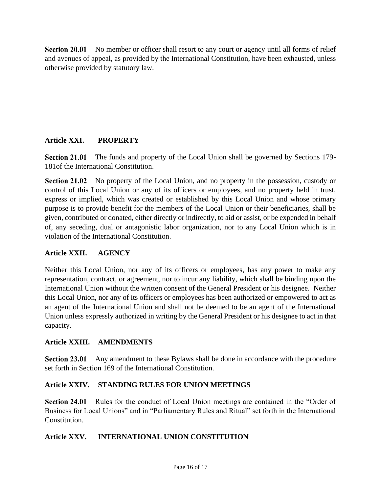**Section 20.01** No member or officer shall resort to any court or agency until all forms of relief and avenues of appeal, as provided by the International Constitution, have been exhausted, unless otherwise provided by statutory law.

#### **Article XXI. PROPERTY**

**Section 21.01** The funds and property of the Local Union shall be governed by Sections 179- 181of the International Constitution.

Section 21.02 No property of the Local Union, and no property in the possession, custody or control of this Local Union or any of its officers or employees, and no property held in trust, express or implied, which was created or established by this Local Union and whose primary purpose is to provide benefit for the members of the Local Union or their beneficiaries, shall be given, contributed or donated, either directly or indirectly, to aid or assist, or be expended in behalf of, any seceding, dual or antagonistic labor organization, nor to any Local Union which is in violation of the International Constitution.

#### **Article XXII. AGENCY**

Neither this Local Union, nor any of its officers or employees, has any power to make any representation, contract, or agreement, nor to incur any liability, which shall be binding upon the International Union without the written consent of the General President or his designee. Neither this Local Union, nor any of its officers or employees has been authorized or empowered to act as an agent of the International Union and shall not be deemed to be an agent of the International Union unless expressly authorized in writing by the General President or his designee to act in that capacity.

#### **Article XXIII. AMENDMENTS**

Section 23.01 Any amendment to these Bylaws shall be done in accordance with the procedure set forth in Section 169 of the International Constitution.

#### **Article XXIV. STANDING RULES FOR UNION MEETINGS**

Rules for the conduct of Local Union meetings are contained in the "Order of Section 24.01 Business for Local Unions" and in "Parliamentary Rules and Ritual" set forth in the International Constitution.

#### **Article XXV. INTERNATIONAL UNION CONSTITUTION**